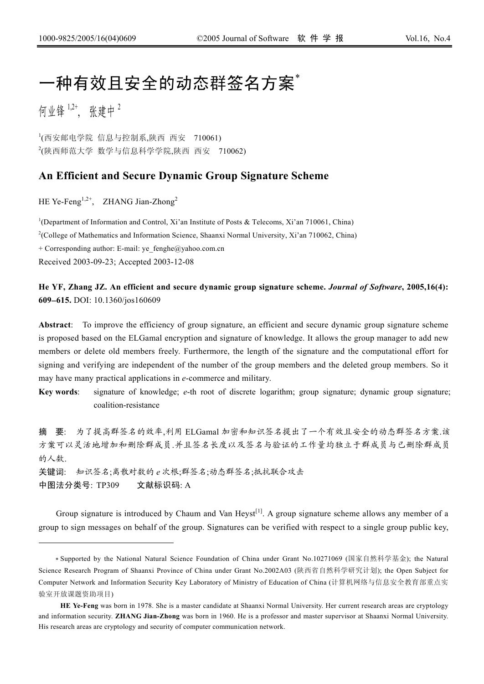# 一种有效且安全的动态群签名方案゛

何业锋  $1,2^+$ , 张建中  $2$ 

 $\overline{a}$ 

1 (西安邮电学院 信息与控制系,陕西 西安 710061) 2 (陕西师范大学 数学与信息科学学院,陕西 西安 710062)

# **An Efficient and Secure Dynamic Group Signature Scheme**

HE Ye-Feng<sup>1,2+</sup>, ZHANG Jian-Zhong<sup>2</sup>

<sup>1</sup>(Department of Information and Control, Xi'an Institute of Posts & Telecoms, Xi'an 710061, China)

2 (College of Mathematics and Information Science, Shaanxi Normal University, Xi'an 710062, China)

+ Corresponding author: E-mail: ye\_fenghe@yahoo.com.cn

Received 2003-09-23; Accepted 2003-12-08

**He YF, Zhang JZ. An efficient and secure dynamic group signature scheme.** *Journal of Software***, 2005,16(4): 609**−**615.** DOI: 10.1360/jos160609

**Abstract**: To improve the efficiency of group signature, an efficient and secure dynamic group signature scheme is proposed based on the ELGamal encryption and signature of knowledge. It allows the group manager to add new members or delete old members freely. Furthermore, the length of the signature and the computational effort for signing and verifying are independent of the number of the group members and the deleted group members. So it may have many practical applications in *e*-commerce and military.

**Key words**: signature of knowledge; *e*-th root of discrete logarithm; group signature; dynamic group signature; coalition-resistance

摘 要: 为了提高群签名的效率,利用 ELGamal 加密和知识签名提出了一个有效且安全的动态群签名方案.该 方案可以灵活地增加和删除群成员.并且签名长度以及签名与验证的工作量均独立于群成员与已删除群成员 的人数.

关键词: 知识签名;离散对数的 *e* 次根;群签名;动态群签名;抵抗联合攻击 中图法分类号: TP309 文献标识码: A

Group signature is introduced by Chaum and Van Heyst<sup>[1]</sup>. A group signature scheme allows any member of a group to sign messages on behalf of the group. Signatures can be verified with respect to a single group public key,

<sup>∗</sup> Supported by the National Natural Science Foundation of China under Grant No.10271069 (国家自然科学基金); the Natural Science Research Program of Shaanxi Province of China under Grant No.2002A03 (陕西省自然科学研究计划); the Open Subject for Computer Network and Information Security Key Laboratory of Ministry of Education of China (计算机网络与信息安全教育部重点实 验室开放课题资助项目)

**HE Ye-Feng** was born in 1978. She is a master candidate at Shaanxi Normal University. Her current research areas are cryptology and information security. **ZHANG Jian-Zhong** was born in 1960. He is a professor and master supervisor at Shaanxi Normal University. His research areas are cryptology and security of computer communication network.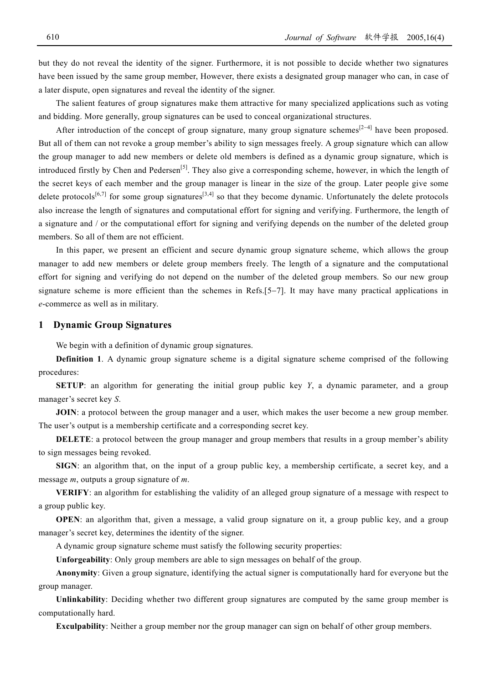but they do not reveal the identity of the signer. Furthermore, it is not possible to decide whether two signatures have been issued by the same group member, However, there exists a designated group manager who can, in case of a later dispute, open signatures and reveal the identity of the signer.

The salient features of group signatures make them attractive for many specialized applications such as voting and bidding. More generally, group signatures can be used to conceal organizational structures.

After introduction of the concept of group signature, many group signature schemes<sup>[2−4]</sup> have been proposed. But all of them can not revoke a group member's ability to sign messages freely. A group signature which can allow the group manager to add new members or delete old members is defined as a dynamic group signature, which is introduced firstly by Chen and Pedersen<sup>[5]</sup>. They also give a corresponding scheme, however, in which the length of the secret keys of each member and the group manager is linear in the size of the group. Later people give some delete protocols<sup>[6,7]</sup> for some group signatures<sup>[3,4]</sup> so that they become dynamic. Unfortunately the delete protocols also increase the length of signatures and computational effort for signing and verifying. Furthermore, the length of a signature and / or the computational effort for signing and verifying depends on the number of the deleted group members. So all of them are not efficient.

In this paper, we present an efficient and secure dynamic group signature scheme, which allows the group manager to add new members or delete group members freely. The length of a signature and the computational effort for signing and verifying do not depend on the number of the deleted group members. So our new group signature scheme is more efficient than the schemes in Refs.[5–7]. It may have many practical applications in *e*-commerce as well as in military.

### **1 Dynamic Group Signatures**

We begin with a definition of dynamic group signatures.

**Definition 1**. A dynamic group signature scheme is a digital signature scheme comprised of the following procedures:

**SETUP**: an algorithm for generating the initial group public key *Y*, a dynamic parameter, and a group manager's secret key *S*.

**JOIN**: a protocol between the group manager and a user, which makes the user become a new group member. The user's output is a membership certificate and a corresponding secret key.

**DELETE**: a protocol between the group manager and group members that results in a group member's ability to sign messages being revoked.

**SIGN**: an algorithm that, on the input of a group public key, a membership certificate, a secret key, and a message *m*, outputs a group signature of *m*.

**VERIFY**: an algorithm for establishing the validity of an alleged group signature of a message with respect to a group public key.

**OPEN**: an algorithm that, given a message, a valid group signature on it, a group public key, and a group manager's secret key, determines the identity of the signer.

A dynamic group signature scheme must satisfy the following security properties:

**Unforgeability**: Only group members are able to sign messages on behalf of the group.

**Anonymity**: Given a group signature, identifying the actual signer is computationally hard for everyone but the group manager.

**Unlinkability**: Deciding whether two different group signatures are computed by the same group member is computationally hard.

**Exculpability**: Neither a group member nor the group manager can sign on behalf of other group members.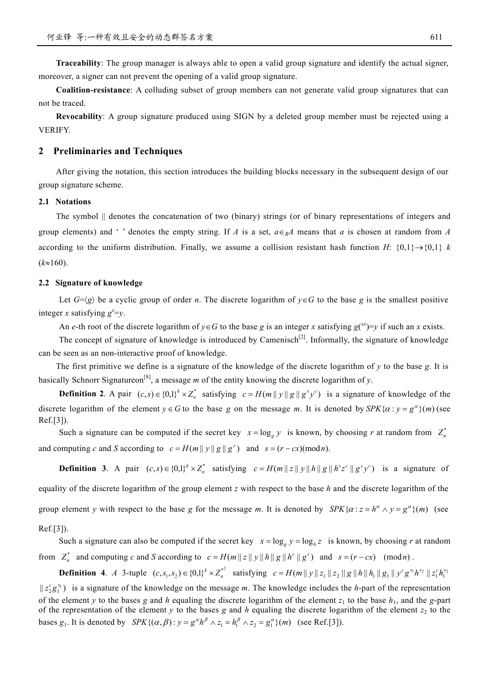**Traceability**: The group manager is always able to open a valid group signature and identify the actual signer, moreover, a signer can not prevent the opening of a valid group signature.

**Coalition-resistance**: A colluding subset of group members can not generate valid group signatures that can not be traced.

**Revocability**: A group signature produced using SIGN by a deleted group member must be rejected using a VERIFY.

# **2 Preliminaries and Techniques**

After giving the notation, this section introduces the building blocks necessary in the subsequent design of our group signature scheme.

#### **2.1 Notations**

The symbol || denotes the concatenation of two (binary) strings (or of binary representations of integers and group elements) and ' ' denotes the empty string. If *A* is a set,  $a \in_R A$  means that *a* is chosen at random from *A* according to the uniform distribution. Finally, we assume a collision resistant hash function  $H: \{0,1\} \rightarrow \{0,1\}$  *k* (*k*≈160).

## **2.2 Signature of knowledge**

Let  $G=\langle g \rangle$  be a cyclic group of order *n*. The discrete logarithm of  $y \in G$  to the base g is the smallest positive integer *x* satisfying  $g^x = y$ .

An *e*-th root of the discrete logarithm of  $y \in G$  to the base *g* is an integer *x* satisfying  $g(x^e) = y$  if such an *x* exists.

The concept of signature of knowledge is introduced by Camenisch<sup>[2]</sup>. Informally, the signature of knowledge can be seen as an non-interactive proof of knowledge.

The first primitive we define is a signature of the knowledge of the discrete logarithm of *y* to the base *g*. It is basically Schnorr Signatureon[8] , a message *m* of the entity knowing the discrete logarithm of *y*.

**Definition 2.** A pair  $(c, s) \in \{0,1\}^k \times Z_n^*$  satisfying  $c = H(m||y||g||g^s y^c)$  is a signature of knowledge of the discrete logarithm of the element  $y \in G$  to the base *g* on the message *m*. It is denoted by SPK{ $\alpha : y = g^{\alpha}$ }(*m*) (see Ref.[3]).

Such a signature can be computed if the secret key  $x = \log_g y$  is known, by choosing *r* at random from  $Z_n^*$ and computing *c* and *S* according to  $c = H(m || y || g || g<sup>r</sup>)$  and  $s = (r - cx)(\text{mod } n)$ .

**Definition 3**. A pair  $(c,s) \in \{0,1\}^k \times Z_n^*$  satisfying  $c = H(m || z || y || h || g || h^s z^c || g^s y^c)$  is a signature of equality of the discrete logarithm of the group element *z* with respect to the base *h* and the discrete logarithm of the group element *y* with respect to the base *g* for the message *m*. It is denoted by  $SPK\{\alpha : z = h^{\alpha} \wedge y = g^{\alpha}\}(m)$  (see Ref.[3]).

# Such a signature can also be computed if the secret key  $x = \log_e y = \log_h z$  is known, by choosing *r* at random from  $Z_n^*$  and computing c and S according to  $c = H(m||z||y||h||g||h''||g'')$  and  $s = (r - cx)$  (modn).

**Definition 4.** A 3-tuple  $(c, s_1, s_2) \in \{0,1\}^k \times Z_n^{*^2}$  satisfying  $c = H(m||y||z_1||z_2||g||h||h_1||g_1||y^c g^{s_1} h^{s_2}||z_1^c h_1^{s_1}$ 

 $||z_2^c g_1^{s_1}$  is a signature of the knowledge on the message *m*. The knowledge includes the *h*-part of the representation of the element *y* to the bases *g* and *h* equaling the discrete logarithm of the element  $z_1$  to the base  $h_1$ , and the *g*-part bases  $g_1$ . It is denoted by  $SPK\{(\alpha, \beta) : y = g^{\alpha}h^{\beta} \wedge z_1 = h_1^{\beta} \wedge z_2 = g_1^{\alpha}\}(m)$  (see Ref.[3]). of the representation of the element  $y$  to the bases  $g$  and  $h$  equaling the discrete logarithm of the element  $z_2$  to the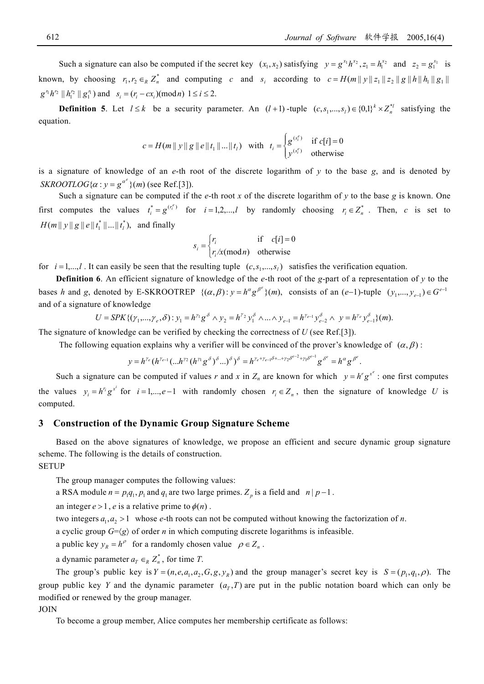Such a signature can also be computed if the secret key  $(x_1, x_2)$  satisfying  $y = g^{x_1} h^{x_2}, z_1 = h_1^{x_2}$  and  $z_2 = g_1^{x_1}$  is known, by choosing  $r_1, r_2 \in_R Z_n^*$  and computing c and  $s_i$  according to  $c = H(m||y||z_1||z_2||g||h||h_1||g_1||)$  $|g^{r_1}h^{r_2}||h_1^{r_2}||g_1^{r_1})$  and  $s_i = (r_i - cx_i)(\text{mod } n)$   $1 \le i \le 2$ .

**Definition 5**. Let  $l \leq k$  be a security parameter. An  $(l+1)$ -tuple  $(c, s_1,...,s_l) \in \{0,1\}^k \times Z_n^{*l}$  satisfying the equation.

$$
c = H(m || y || g || e || t_1 || ... || t_l)
$$
 with  $t_i = \begin{cases} g^{(s_i^e)} & \text{if } c[i] = 0 \\ y^{(s_i^e)} & \text{otherwise} \end{cases}$ 

is a signature of knowledge of an *e*-th root of the discrete logarithm of *y* to the base *g*, and is denoted by *SKROOTLOG*{ $\alpha$  :  $y = g^{\alpha^e}$ }(*m*) (see Ref.[3]).

Such a signature can be computed if the  $e$ -th root  $x$  of the discrete logarithm of  $y$  to the base  $g$  is known. One first computes the values  $t_i^* = g^{(r_i^e)}$  for  $i = 1, 2, ..., l$  by randomly choosing  $r_i \in Z_n^*$ . Then, *c* is set to  $H(m || y || g || e || t_1^* || ... || t_l^*),$  and finally

$$
s_i = \begin{cases} r_i & \text{if } c[i] = 0\\ r_i / x \text{(mod } n) & \text{otherwise} \end{cases}
$$

for  $i = 1, \ldots, l$ . It can easily be seen that the resulting tuple  $(c, s_1, \ldots, s_l)$  satisfies the verification equation.

**Definition 6**. An efficient signature of knowledge of the *e*-th root of the *g*-part of a representation of *y* to the bases *h* and *g*, denoted by E-SKROOTREP  $\{(\alpha, \beta) : y = h^{\alpha} g^{\beta^e}\}(m)$ , consists of an  $(e-1)$ -tuple  $(y_1,..., y_{e-1}) \in G^{e-1}$ and of a signature of knowledge

$$
U = SPK\{(\gamma_1, ..., \gamma_e, \delta) : y_1 = h^{\gamma_1} g^{\delta} \wedge y_2 = h^{\gamma_2} y_1^{\delta} \wedge ... \wedge y_{e-1} = h^{\gamma_{e-1}} y_{e-2}^{\delta} \wedge y = h^{\gamma_e} y_{e-1}^{\delta}\}(m).
$$

The signature of knowledge can be verified by checking the correctness of *U* (see Ref.[3]).

The following equation explains why a verifier will be convinced of the prover's knowledge of  $(\alpha, \beta)$ :

$$
y = h^{\gamma_e} (h^{\gamma_{e-1}}(...h^{\gamma_2} (h^{\gamma_1} g^{\delta})^{\delta} ...) \delta^{\delta})^{\delta} = h^{\gamma_e + \gamma_{e-1} \delta + ... + \gamma_2 \delta^{e-2} + \gamma_1 \delta^{e-1}} g^{\delta^e} = h^{\alpha} g^{\beta^e}.
$$

Such a signature can be computed if values *r* and *x* in  $Z_n$  are known for which  $y = h^r g^{x^e}$ : one first computes the values  $y_i = h^{r_i} g^{x^i}$  for  $i = 1, \dots, e-1$  with randomly chosen  $r_i \in Z_n$ , then the signature of knowledge *U* is computed.

#### **3 Construction of the Dynamic Group Signature Scheme**

Based on the above signatures of knowledge, we propose an efficient and secure dynamic group signature scheme. The following is the details of construction.

#### **SETUP**

The group manager computes the following values:

a RSA module  $n = p_1 q_1, p_1$  and  $q_1$  are two large primes.  $Z_p$  is a field and  $n | p - 1$ .

an integer  $e > 1$ , *e* is a relative prime to  $\phi(n)$ .

two integers  $a_1, a_2 > 1$  whose *e*-th roots can not be computed without knowing the factorization of *n*.

a cyclic group  $G=\langle g \rangle$  of order *n* in which computing discrete logarithms is infeasible.

a public key  $y_R = h^{\rho}$  for a randomly chosen value  $\rho \in Z_n$ .

a dynamic parameter  $a_r \in R Z_n^*$ , for time *T*.

The group's public key is  $Y = (n, e, a_1, a_2, G, g, y_R)$  and the group manager's secret key is  $S = (p_1, q_1, \rho)$ . The group public key *Y* and the dynamic parameter  $(a_T, T)$  are put in the public notation board which can only be modified or renewed by the group manager.

#### JOIN

To become a group member, Alice computes her membership certificate as follows: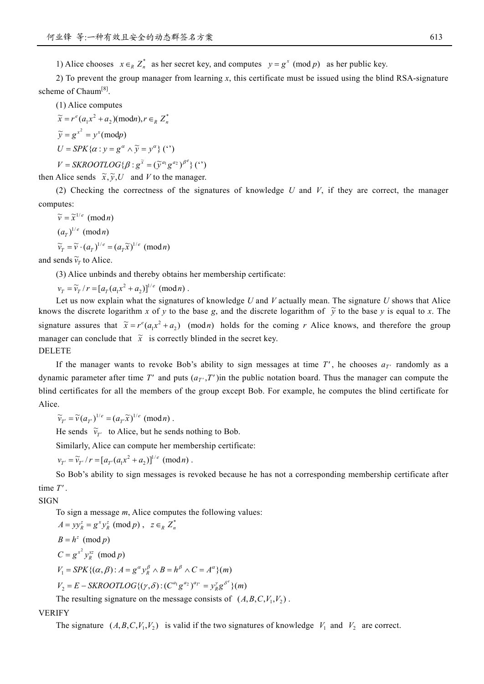1) Alice chooses  $x \in_R Z_n^*$  as her secret key, and computes  $y = g^x \pmod{p}$  as her public key.

2) To prevent the group manager from learning *x*, this certificate must be issued using the blind RSA-signature scheme of Chaum<sup>[8]</sup>.

(1) Alice computes

 $\widetilde{x} = r^e (a_1 x^2 + a_2) (\text{mod } n), r \in_R Z_n^*$  $\widetilde{y} = g^{x^2} = y^x \pmod{p}$  $U = SPK{\alpha : y = g^{\alpha} \wedge \widetilde{y} = y^{\alpha}}$  (")  $V = SKROOTLOG{  $\beta : g^{\tilde{x}} = (\tilde{v}^{a_1}g^{a_2})^{\beta^e} \}$  (*)$ 

then Alice sends  $\tilde{x}, \tilde{y}, U$  and *V* to the manager.

(2) Checking the correctness of the signatures of knowledge *U* and *V*, if they are correct, the manager computes:

 $\widetilde{v} = \widetilde{x}^{1/e}$  (mod*n*)  $(a_T)^{1/e}$  (mod*n*)  $\widetilde{v}_T = \widetilde{v} \cdot (a_T)^{1/e} = (a_T \widetilde{x})^{1/e}$  (mod*n*)

and sends  $\tilde{v}_r$  to Alice.

(3) Alice unbinds and thereby obtains her membership certificate:

 $v_T = \tilde{v}_T / r = [a_T (a_1 x^2 + a_2)]^{1/e}$  (mod*n*).

Let us now explain what the signatures of knowledge *U* and *V* actually mean. The signature *U* shows that Alice knows the discrete logarithm *x* of *y* to the base *g*, and the discrete logarithm of  $\tilde{y}$  to the base *y* is equal to *x*. The signature assures that  $\tilde{x} = r^e (a_1 x^2 + a_2)$  (mod*n*) holds for the coming *r* Alice knows, and therefore the group manager can conclude that  $\tilde{x}$  is correctly blinded in the secret key. DELETE

# If the manager wants to revoke Bob's ability to sign messages at time  $T'$ , he chooses  $a_{T'}$  randomly as a dynamic parameter after time *T'* and puts  $(a_{T}, T')$  in the public notation board. Thus the manager can compute the blind certificates for all the members of the group except Bob. For example, he computes the blind certificate for Alice.

 $\widetilde{\nu}_{T'} = \widetilde{\nu}(a_{T'})^{1/e} = (a_T \widetilde{x})^{1/e} \pmod{n}$ .

He sends  $\tilde{v}_{T'}$  to Alice, but he sends nothing to Bob.

Similarly, Alice can compute her membership certificate:

 $v_{T'} = \tilde{v}_{T'} / r = [a_{T'} (a_1 x^2 + a_2)]^{1/e} \pmod{n}.$ 

So Bob's ability to sign messages is revoked because he has not a corresponding membership certificate after time *T*′ .

SIGN

To sign a message *m*, Alice computes the following values:

 $A = yy_R^z = g^x y_R^z \pmod{p}$ ,  $z \in_R Z_n^*$  $B = h^z \pmod{p}$  $C = g^{x^2} y_R^{xz} \pmod{p}$  $V_1 = SPK\{(\alpha, \beta): A = g^{\alpha} y^{\beta} \wedge B = h^{\beta} \wedge C = A^{\alpha}\}(m)$  $V_2 = E - SKROOTLOG\{ (\gamma, \delta) : (C^{a_1}g^{a_2})^{a_T} = y_R^{\gamma}g^{\delta^e} \}(m)$ 

The resulting signature on the message consists of  $(A, B, C, V_1, V_2)$ .

#### VERIFY

The signature  $(A, B, C, V_1, V_2)$  is valid if the two signatures of knowledge  $V_1$  and  $V_2$  are correct.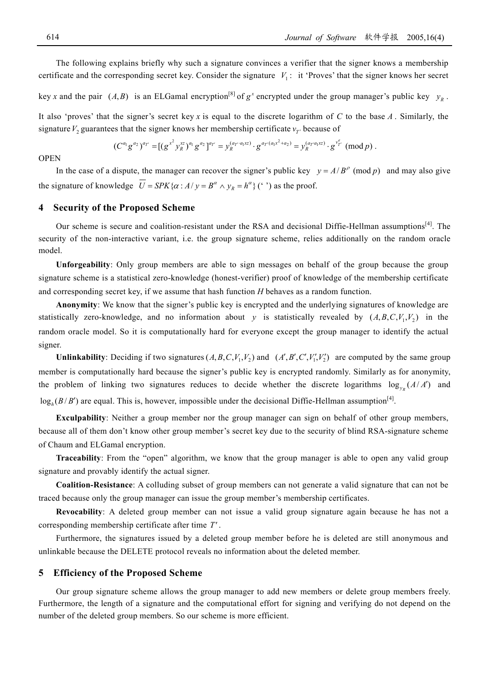The following explains briefly why such a signature convinces a verifier that the signer knows a membership

certificate and the corresponding secret key. Consider the signature  $V_1$ : it 'Proves' that the signer knows her secret key x and the pair  $(A, B)$  is an ELGamal encryption<sup>[8]</sup> of  $g^x$  encrypted under the group manager's public key  $y_R$ .

It also 'proves' that the signer's secret key *x* is equal to the discrete logarithm of *C* to the base *A* . Similarly, the signature  $V_2$  guarantees that the signer knows her membership certificate  $v_T$  because of

$$
(C^{a_1}g^{a_2})^{a_T}=[(g^{x^2}y_R^{xz})^{a_1}g^{a_2}]^{a_T}=y_R^{(a_{T'}a_1xz)}\cdot g^{a_{T'}(a_1x^2+a_2)}=y_R^{(a_{T'}a_1xz)}\cdot g^{v_T^e} \pmod{p}.
$$

#### **OPEN**

In the case of a dispute, the manager can recover the signer's public key  $y = A/B^{\rho} \pmod{p}$  and may also give the signature of knowledge  $U = SPK\{\alpha : A/y = B^{\alpha} \wedge y_R = h^{\alpha}\}$  (°) as the proof.

## **4 Security of the Proposed Scheme**

Our scheme is secure and coalition-resistant under the RSA and decisional Diffie-Hellman assumptions<sup>[4]</sup>. The security of the non-interactive variant, i.e. the group signature scheme, relies additionally on the random oracle model.

**Unforgeability**: Only group members are able to sign messages on behalf of the group because the group signature scheme is a statistical zero-knowledge (honest-verifier) proof of knowledge of the membership certificate and corresponding secret key, if we assume that hash function *H* behaves as a random function.

**Anonymity**: We know that the signer's public key is encrypted and the underlying signatures of knowledge are statistically zero-knowledge, and no information about y is statistically revealed by  $(A, B, C, V_1, V_2)$  in the random oracle model. So it is computationally hard for everyone except the group manager to identify the actual signer.

**Unlinkability**: Deciding if two signatures  $(A, B, C, V_1, V_2)$  and  $(A', B', C', V_1', V_2')$  are computed by the same group member is computationally hard because the signer's public key is encrypted randomly. Similarly as for anonymity, the problem of linking two signatures reduces to decide whether the discrete logarithms  $\log_{y_R}(A/A')$  and  $\log_h(B/B')$  are equal. This is, however, impossible under the decisional Diffie-Hellman assumption<sup>[4]</sup>.

**Exculpability**: Neither a group member nor the group manager can sign on behalf of other group members, because all of them don't know other group member's secret key due to the security of blind RSA-signature scheme of Chaum and ELGamal encryption.

**Traceability**: From the "open" algorithm, we know that the group manager is able to open any valid group signature and provably identify the actual signer.

**Coalition-Resistance**: A colluding subset of group members can not generate a valid signature that can not be traced because only the group manager can issue the group member's membership certificates.

**Revocability**: A deleted group member can not issue a valid group signature again because he has not a corresponding membership certificate after time *T*′ .

Furthermore, the signatures issued by a deleted group member before he is deleted are still anonymous and unlinkable because the DELETE protocol reveals no information about the deleted member.

#### **5 Efficiency of the Proposed Scheme**

Our group signature scheme allows the group manager to add new members or delete group members freely. Furthermore, the length of a signature and the computational effort for signing and verifying do not depend on the number of the deleted group members. So our scheme is more efficient.